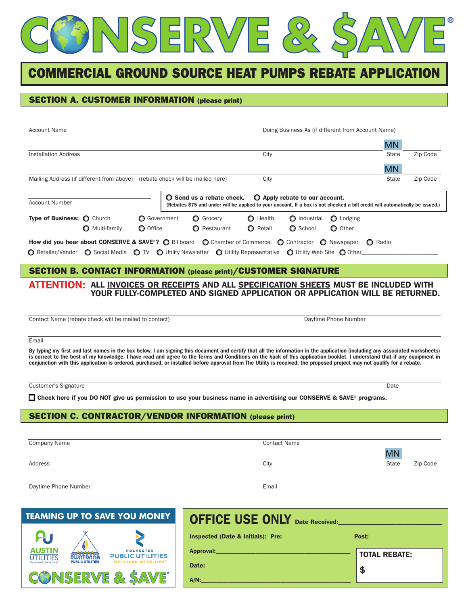# **COMMERCIAL GROUND SOURCE HEAT PUMPS REBATE APPLICATION**

# **SECTION A. CUSTOMER INFORMATION (please print)**

| <b>Account Name</b>                                   |              |                                                                              |                                                                                                                                                                                                                                                                                                                                                                                                                                                                                                                                    |                                                |                                | Doing Business As (if different from Account Name) |                 |          |
|-------------------------------------------------------|--------------|------------------------------------------------------------------------------|------------------------------------------------------------------------------------------------------------------------------------------------------------------------------------------------------------------------------------------------------------------------------------------------------------------------------------------------------------------------------------------------------------------------------------------------------------------------------------------------------------------------------------|------------------------------------------------|--------------------------------|----------------------------------------------------|-----------------|----------|
|                                                       |              |                                                                              |                                                                                                                                                                                                                                                                                                                                                                                                                                                                                                                                    |                                                |                                |                                                    | <b>MN</b>       |          |
| <b>Installation Address</b>                           |              |                                                                              |                                                                                                                                                                                                                                                                                                                                                                                                                                                                                                                                    | City                                           |                                |                                                    | <b>State</b>    | Zip Code |
|                                                       |              |                                                                              |                                                                                                                                                                                                                                                                                                                                                                                                                                                                                                                                    |                                                |                                |                                                    | <b>MN</b>       |          |
|                                                       |              | Mailing Address (if different from above) (rebate check will be mailed here) |                                                                                                                                                                                                                                                                                                                                                                                                                                                                                                                                    | City                                           |                                |                                                    | State           | Zip Code |
| <b>Account Number</b>                                 |              |                                                                              | $\bullet$ Send us a rebate check.<br>(Rebates \$75 and under will be applied to your account. If a box is not checked a bill credit will automatically be issued.)                                                                                                                                                                                                                                                                                                                                                                 |                                                | O Apply rebate to our account. |                                                    |                 |          |
| Type of Business: O Church                            |              | <b>Q</b> Government                                                          | <b>O</b> Grocery                                                                                                                                                                                                                                                                                                                                                                                                                                                                                                                   | <b>O</b> Health                                | O Industrial                   | <b>O</b> Lodging                                   |                 |          |
|                                                       | Multi-family | <b>O</b> Office                                                              | <b>O</b> Restaurant                                                                                                                                                                                                                                                                                                                                                                                                                                                                                                                | <b>O</b> Retail                                | <b>O</b> School                | O Other                                            |                 |          |
| ◯ Retailer/Vendor ◯ Social Media                      |              | How did you hear about CONSERVE & SAVE <sup>®</sup> ? © Billboard            | O TV O Utility Newsletter O Utility Representative                                                                                                                                                                                                                                                                                                                                                                                                                                                                                 | ◯ Chamber of Commerce ◯ Contractor ◯ Newspaper |                                | ◯ Utility Web Site ◯ Other                         | $\bullet$ Radio |          |
|                                                       |              |                                                                              | <b>SECTION B. CONTACT INFORMATION (please print)/CUSTOMER SIGNATURE</b>                                                                                                                                                                                                                                                                                                                                                                                                                                                            |                                                |                                |                                                    |                 |          |
| Contact Name (rebate check will be mailed to contact) |              |                                                                              | YOUR FULLY-COMPLETED AND SIGNED APPLICATION OR APPLICATION WILL BE RETURNED.                                                                                                                                                                                                                                                                                                                                                                                                                                                       |                                                |                                | Daytime Phone Number                               |                 |          |
| Email                                                 |              |                                                                              |                                                                                                                                                                                                                                                                                                                                                                                                                                                                                                                                    |                                                |                                |                                                    |                 |          |
|                                                       |              |                                                                              | By typing my first and last names in the box below, I am signing this document and certify that all the information in the application (including any associated worksheets)<br>is correct to the best of my knowledge. I have read and agree to the Terms and Conditions on the back of this application booklet. I understand that if any equipment in<br>conjunction with this application is ordered, purchased, or installed before approval from The Utility is received, the proposed project may not qualify for a rebate. |                                                |                                |                                                    |                 |          |
| <b>Customer's Signature</b>                           |              |                                                                              |                                                                                                                                                                                                                                                                                                                                                                                                                                                                                                                                    |                                                |                                |                                                    | Date            |          |
|                                                       |              |                                                                              | □ Check here if you DO NOT give us permission to use your business name in advertising our CONSERVE & SAVE® programs.                                                                                                                                                                                                                                                                                                                                                                                                              |                                                |                                |                                                    |                 |          |
|                                                       |              |                                                                              | <b>SECTION C. CONTRACTOR/VENDOR INFORMATION (please print)</b>                                                                                                                                                                                                                                                                                                                                                                                                                                                                     |                                                |                                |                                                    |                 |          |
|                                                       |              |                                                                              |                                                                                                                                                                                                                                                                                                                                                                                                                                                                                                                                    |                                                |                                |                                                    |                 |          |
| <b>Company Name</b>                                   |              |                                                                              |                                                                                                                                                                                                                                                                                                                                                                                                                                                                                                                                    | <b>Contact Name</b>                            |                                |                                                    | <b>MN</b>       |          |

# **SECTION B. CONTACT INFORMATION (please print)/CUSTOMER SIGNATURE**

# **ATTENTION: ALL INVOICES OR RECEIPTS AND ALL SPECIFICATION SHEETS MUST BE INCLUDED WITH YOUR FULLY-COMPLETED AND SIGNED APPLICATION OR APPLICATION WILL BE RETURNED.**

# **SECTION C. CONTRACTOR/VENDOR INFORMATION (please print)**

| Company Name         | <b>Contact Name</b> |           |          |
|----------------------|---------------------|-----------|----------|
|                      |                     | <b>MN</b> |          |
| Address              | City                | State     | Zip Code |
| Daytime Phone Number | Email               |           |          |



| <b>OFFICE USE ONLY</b> Date Received:        |                      |
|----------------------------------------------|----------------------|
| <b>Inspected (Date &amp; Initials): Pre:</b> | <b>Post:</b> Post:   |
|                                              | <b>TOTAL REBATE:</b> |
| Date:                                        |                      |
| $A/N$ :                                      |                      |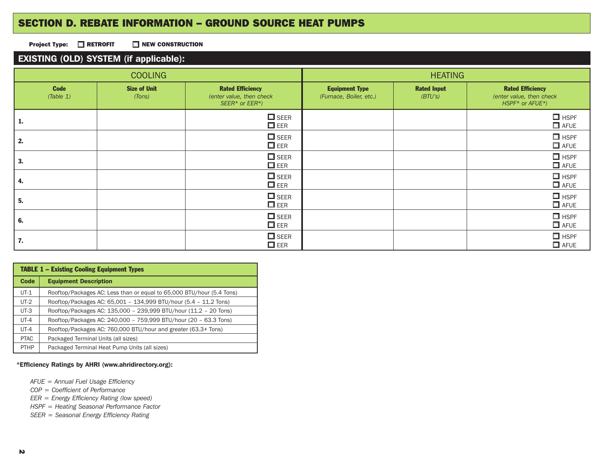# **SECTION D. REBATE INFORMATION – GROUND SOURCE HEAT PUMPS**

**Project Type: ORETROFIT** 

**REW CONSTRUCTION** 

# **EXISTING (OLD) SYSTEM (if applicable):**

|                          | <b>COOLING</b>                |                                                                       | <b>HEATING</b>                                   |                               |                                                                        |  |  |
|--------------------------|-------------------------------|-----------------------------------------------------------------------|--------------------------------------------------|-------------------------------|------------------------------------------------------------------------|--|--|
| <b>Code</b><br>(Table 1) | <b>Size of Unit</b><br>(Tons) | <b>Rated Efficiency</b><br>(enter value, then check<br>SEER* or EER*) | <b>Equipment Type</b><br>(Furnace, Boiler, etc.) | <b>Rated Input</b><br>(BTU's) | <b>Rated Efficiency</b><br>(enter value, then check<br>HSPF* or AFUE*) |  |  |
| 1.                       |                               | $\square$ SEER<br>$\square$ EER                                       |                                                  |                               | $\Box$ HSPF<br>$\square$ AFUE                                          |  |  |
| 2.                       |                               | $\square$ SEER<br>$\square$ EER                                       |                                                  |                               | $\Box$ HSPF<br>$\Box$ AFUE                                             |  |  |
| 3.                       |                               | $\square$ SEER<br>$\square$ EER                                       |                                                  |                               | $\Box$ HSPF<br>$\Box$ AFUE                                             |  |  |
| 4.                       |                               | $\square$ SEER<br>$\square$ EER                                       |                                                  |                               | $\Box$ HSPF<br>$\Box$ AFUE                                             |  |  |
| 5.                       |                               | $\square$ SEER<br>$\square$ EER                                       |                                                  |                               | $\Box$ HSPF<br>$\Box$ AFUE                                             |  |  |
| 6.                       |                               | $\square$ SEER<br>$\square$ EER                                       |                                                  |                               | $\Box$ HSPF<br>$\Box$ AFUE                                             |  |  |
| 7.                       |                               | $\square$ SEER<br>$\square$ EER                                       |                                                  |                               | $\Box$ HSPF<br>$\Box$ AFUE                                             |  |  |

|             | <b>TABLE 1 - Existing Cooling Equipment Types</b>                     |  |  |  |  |  |
|-------------|-----------------------------------------------------------------------|--|--|--|--|--|
| Code        | <b>Equipment Description</b>                                          |  |  |  |  |  |
| $UT-1$      | Rooftop/Packages AC: Less than or equal to 65,000 BTU/hour (5.4 Tons) |  |  |  |  |  |
| $UT-2$      | Rooftop/Packages AC: 65,001 - 134,999 BTU/hour (5.4 - 11.2 Tons)      |  |  |  |  |  |
| $UT-3$      | Rooftop/Packages AC: 135,000 - 239,999 BTU/hour (11.2 - 20 Tons)      |  |  |  |  |  |
| $UT-4$      | Rooftop/Packages AC: 240,000 - 759,999 BTU/hour (20 - 63.3 Tons)      |  |  |  |  |  |
| $UT-4$      | Rooftop/Packages AC: 760,000 BTU/hour and greater (63.3+ Tons)        |  |  |  |  |  |
| <b>PTAC</b> | Packaged Terminal Units (all sizes)                                   |  |  |  |  |  |
| <b>PTHP</b> | Packaged Terminal Heat Pump Units (all sizes)                         |  |  |  |  |  |

### **\*Efficiency Ratings by AHRI (www.ahridirectory.org):**

*AFUE <sup>=</sup> Annual Fuel Usage Efficiency*

*COP <sup>=</sup> Coefficient of Performance*

*EER <sup>=</sup> Energy Efficiency Rating (low speed)*

*HSPF <sup>=</sup> Heating Seasonal Performance Factor*

*SEER <sup>=</sup> Seasonal Energy Efficiency Rating*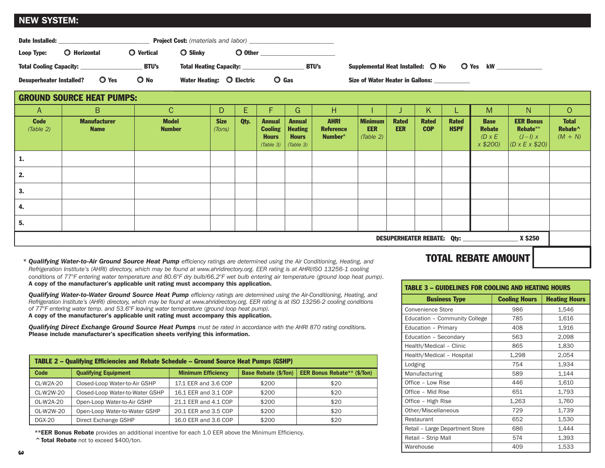# **NEW SYSTEM:**

| Date Installed:                 |                     |                   | <b>Project Cost:</b> (materials and labor) |                    |  |  |  |
|---------------------------------|---------------------|-------------------|--------------------------------------------|--------------------|--|--|--|
| Loop Type:                      | <b>O</b> Horizontal | <b>O</b> Vertical | ◯ Other<br>$\bigcirc$ Slinky               |                    |  |  |  |
| <b>Total Cooling Capacity:</b>  |                     | <b>BTU's</b>      | <b>Total Heating Capacity:</b>             | <b>BTU's</b>       |  |  |  |
| <b>Desuperheater Installed?</b> | O Yes               | O No              | O Electric<br><b>Water Heating:</b>        | $\overline{O}$ Gas |  |  |  |

 $Supplemental Heat Instead!  $\bigcirc$  No$ 

**Size of Water Heater in Gallons:** 

**No** o **Yes kW \_\_\_\_\_\_\_\_\_\_\_\_\_\_**

**GROUND SOURCE HEAT PUMPS:**

| A                                            | B                                  | C                             | D                     | E    |                                                              | G.                                                           | н                                          |                                           |                            | K                   |                             | M                                                         | N                                                                        | $\overline{O}$                                   |
|----------------------------------------------|------------------------------------|-------------------------------|-----------------------|------|--------------------------------------------------------------|--------------------------------------------------------------|--------------------------------------------|-------------------------------------------|----------------------------|---------------------|-----------------------------|-----------------------------------------------------------|--------------------------------------------------------------------------|--------------------------------------------------|
| <b>Code</b><br>(Table 2)                     | <b>Manufacturer</b><br><b>Name</b> | <b>Model</b><br><b>Number</b> | <b>Size</b><br>(Tons) | Qty. | <b>Annual</b><br><b>Cooling</b><br><b>Hours</b><br>(Table 3) | <b>Annual</b><br><b>Heating</b><br><b>Hours</b><br>(Table 3) | <b>AHRI</b><br><b>Reference</b><br>Number* | <b>Minimum</b><br><b>EER</b><br>(Table 2) | <b>Rated</b><br><b>EER</b> | Rated<br><b>COP</b> | <b>Rated</b><br><b>HSPF</b> | <b>Base</b><br><b>Rebate</b><br>$(D \times E)$<br>x \$200 | <b>EER Bonus</b><br>Rebate**<br>$(J - I)$ x<br>$(O \times E \times $20)$ | <b>Total</b><br>Rebate <sup>^</sup><br>$(M + N)$ |
| 1.                                           |                                    |                               |                       |      |                                                              |                                                              |                                            |                                           |                            |                     |                             |                                                           |                                                                          |                                                  |
| 2.                                           |                                    |                               |                       |      |                                                              |                                                              |                                            |                                           |                            |                     |                             |                                                           |                                                                          |                                                  |
| 3.                                           |                                    |                               |                       |      |                                                              |                                                              |                                            |                                           |                            |                     |                             |                                                           |                                                                          |                                                  |
| 4.                                           |                                    |                               |                       |      |                                                              |                                                              |                                            |                                           |                            |                     |                             |                                                           |                                                                          |                                                  |
| 5.                                           |                                    |                               |                       |      |                                                              |                                                              |                                            |                                           |                            |                     |                             |                                                           |                                                                          |                                                  |
| X \$250<br><b>DESUPERHEATER REBATE: Qty:</b> |                                    |                               |                       |      |                                                              |                                                              |                                            |                                           |                            |                     |                             |                                                           |                                                                          |                                                  |

\* Qualifying Water-to-Air Ground Source Heat Pump efficiency ratings are determined using the Air Conditioning, Heating, and **TOTAL REBATE AMOUNT** Refrigeration Institute's (AHRI) directory, which may be found at www.ahridirectory.org. EER rating is at AHRI/ISO 13256-1 cooling conditions of 77°F entering water temperature and 80.6°F dry bulb/66.2°F wet bulb entering air temperature (ground loop heat pump). **A copy of the manufacturer's applicable unit rating must accompany this application.**

Qualifying Water-to-Water Ground Source Heat Pump efficiency ratings are determined using the Air-Conditioning, Heating, and Refrigeration Institute's (AHRI) directory, which may be found at www.ahridirectory.org. EER rating is at ISO 13256-2 cooling conditions *of 77°F entering water temp. and 53.6°F leaving water temperature (ground loop heat pump).* **A copy of the manufacturer's applicable unit rating must accompany this application.**

Qualifying Direct Exchange Ground Source Heat Pumps must be rated in accordance with the AHRI 870 rating conditions. **Please include manufacturer's specification sheets verifying this information.**

| <b>TABLE 2 – Qualifying Efficiencies and Rebate Schedule – Ground Source Heat Pumps (GSHP)</b> |                                                                                                                               |                      |       |      |  |  |  |
|------------------------------------------------------------------------------------------------|-------------------------------------------------------------------------------------------------------------------------------|----------------------|-------|------|--|--|--|
| Code                                                                                           | <b>Base Rebate (\$/Ton)</b><br><b>EER Bonus Rebate** (\$/Ton)</b><br><b>Minimum Efficiency</b><br><b>Qualifying Equipment</b> |                      |       |      |  |  |  |
| CL-W2A-20                                                                                      | Closed-Loop Water-to-Air GSHP                                                                                                 | 17.1 EER and 3.6 COP | \$200 | \$20 |  |  |  |
| CL-W2W-20                                                                                      | Closed-Loop Water-to-Water GSHP                                                                                               | 16.1 EER and 3.1 COP | \$200 | \$20 |  |  |  |
| OL-W2A-20                                                                                      | Open-Loop Water-to-Air GSHP                                                                                                   | 21.1 EER and 4.1 COP | \$200 | \$20 |  |  |  |
| OL-W2W-20                                                                                      | Open-Loop Water-to-Water GSHP                                                                                                 | 20.1 EER and 3.5 COP | \$200 | \$20 |  |  |  |
| <b>DGX-20</b>                                                                                  | Direct Exchange GSHP                                                                                                          | 16.0 EER and 3.6 COP | \$200 | \$20 |  |  |  |

**\*\*EER Bonus Rebate** provides an additional incentive for each 1.0 EER above the Minimum Efficiency. **^Total Rebate** not to exceed \$400/ton.

#### **TABLE 3 – GUIDELINES FOR COOLING AND HEATING HOURS**

| <b>Business Type</b>            | <b>Cooling Hours</b> | <b>Heating Hours</b> |
|---------------------------------|----------------------|----------------------|
| Convenience Store               | 986                  | 1,546                |
| Education - Community College   | 785                  | 1,616                |
| Education - Primary             | 408                  | 1,916                |
| Education - Secondary           | 563                  | 2,098                |
| Health/Medical - Clinic         | 865                  | 1,830                |
| Health/Medical - Hospital       | 1,298                | 2,054                |
| Lodging                         | 754                  | 1,934                |
| Manufacturing                   | 589                  | 1,144                |
| Office - Low Rise               | 446                  | 1,610                |
| Office - Mid Rise               | 651                  | 1,793                |
| Office – High Rise              | 1,263                | 1,760                |
| Other/Miscellaneous             | 729                  | 1,739                |
| Restaurant                      | 652                  | 1,530                |
| Retail - Large Department Store | 686                  | 1,444                |
| Retail - Strip Mall             | 574                  | 1,393                |
| Warehouse                       | 409                  | 1,533                |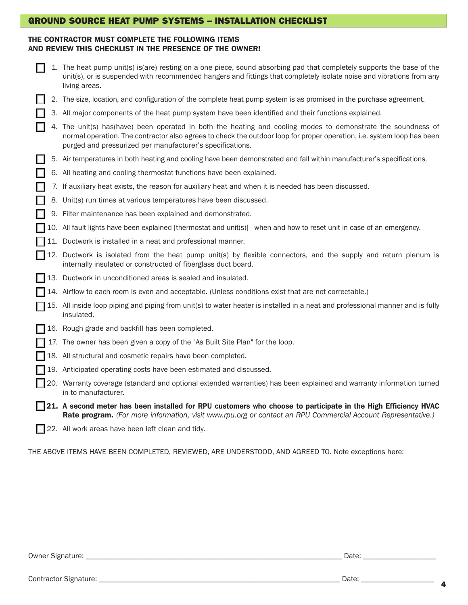# **GROUND SOURCE HEAT PUMP SYSTEMS – INSTALLATION CHECKLIST**

# **THE CONTRACTOR MUST COMPLETE THE FOLLOWING ITEMS AND REVIEW THIS CHECKLIST IN THE PRESENCE OF THE OWNER!**

|  | 1. The heat pump unit(s) is(are) resting on a one piece, sound absorbing pad that completely supports the base of the |
|--|-----------------------------------------------------------------------------------------------------------------------|
|  | unit(s), or is suspended with recommended hangers and fittings that completely isolate noise and vibrations from any  |
|  | living areas.                                                                                                         |

- 2. The size, location, and configuration of the complete heat pump system is as promised in the purchase agreement.
- 3. All major components of the heat pump system have been identified and their functions explained.
- 4. The unit(s) has(have) been operated in both the heating and cooling modes to demonstrate the soundness of normal operation. The contractor also agrees to check the outdoor loop for proper operation, i.e. system loop has been purged and pressurized per manufacturer's specifications.
- 5. Air temperatures in both heating and cooling have been demonstrated and fall within manufacturer's specifications.
- 6. All heating and cooling thermostat functions have been explained.
- 7. If auxiliary heat exists, the reason for auxiliary heat and when it is needed has been discussed.
- 8. Unit(s) run times at various temperatures have been discussed.
- 9. Filter maintenance has been explained and demonstrated.
- 10. All fault lights have been explained [thermostat and unit(s)] when and how to reset unit in case of an emergency.
- 11. Ductwork is installed in a neat and professional manner.
- 12. Ductwork is isolated from the heat pump unit(s) by flexible connectors, and the supply and return plenum is internally insulated or constructed of fiberglass duct board.
- $\Box$  13. Ductwork in unconditioned areas is sealed and insulated.
- 14. Airflow to each room is even and acceptable. (Unless conditions exist that are not correctable.)
- 15. All inside loop piping and piping from unit(s) to water heater is installed in a neat and professional manner and is fully insulated.
- 16. Rough grade and backfill has been completed.
- 17. The owner has been given a copy of the "As Built Site Plan" for the loop.
- $\Box$  18. All structural and cosmetic repairs have been completed.
- $\Box$  19. Anticipated operating costs have been estimated and discussed.
- $\Box$  20. Warranty coverage (standard and optional extended warranties) has been explained and warranty information turned in to manufacturer.
- $\Box$  21. A second meter has been installed for RPU customers who choose to participate in the High Efficiency HVAC **Rate program.** *(For more information, visit www.rpu.org or contact an RPU Commercial Account Representative.)*
- $\Box$  22. All work areas have been left clean and tidy.

THE ABOVE ITEMS HAVE BEEN COMPLETED, REVIEWED, ARE UNDERSTOOD, AND AGREED TO. Note exceptions here:

| Owner<br>۱۵۲،<br>. LIFF | ____ | $\sim$ |  |
|-------------------------|------|--------|--|
|                         |      |        |  |